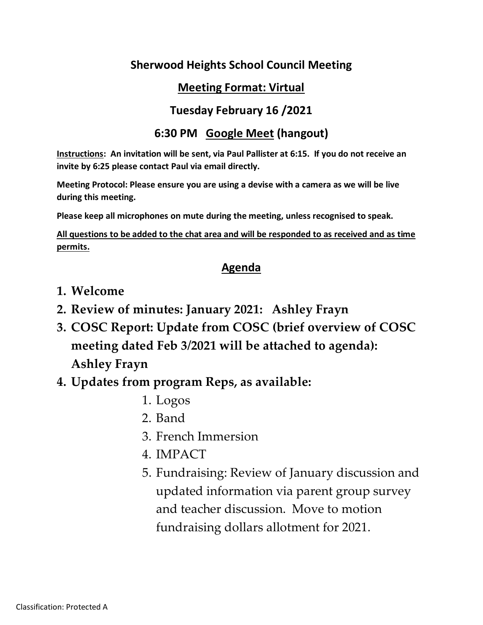### **Sherwood Heights School Council Meeting**

### **Meeting Format: Virtual**

#### **Tuesday February 16 /2021**

### **6:30 PM Google Meet (hangout)**

**Instructions: An invitation will be sent, via Paul Pallister at 6:15. If you do not receive an invite by 6:25 please contact Paul via email directly.**

**Meeting Protocol: Please ensure you are using a devise with a camera as we will be live during this meeting.**

**Please keep all microphones on mute during the meeting, unless recognised to speak.**

**All questions to be added to the chat area and will be responded to as received and as time permits.**

#### **Agenda**

- **1. Welcome**
- **2. Review of minutes: January 2021: Ashley Frayn**
- **3. COSC Report: Update from COSC (brief overview of COSC meeting dated Feb 3/2021 will be attached to agenda): Ashley Frayn**
- **4. Updates from program Reps, as available:**
	- 1. Logos
	- 2. Band
	- 3. French Immersion
	- 4. IMPACT
	- 5. Fundraising: Review of January discussion and updated information via parent group survey and teacher discussion. Move to motion fundraising dollars allotment for 2021.